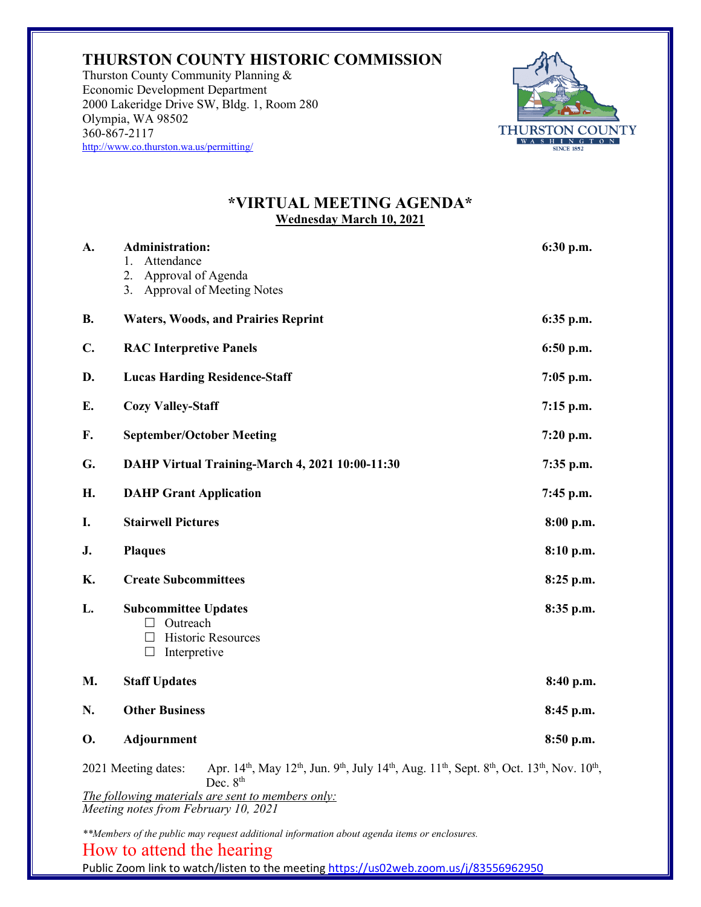## **THURSTON COUNTY HISTORIC COMMISSION**

Thurston County Community Planning & Economic Development Department 2000 Lakeridge Drive SW, Bldg. 1, Room 280 Olympia, WA 98502 360-867-2117 http://www.co.thurston.wa.us/permitting/



## **\*VIRTUAL MEETING AGENDA\* Wednesday March 10, 2021**

| А.                                                                                                                                                                                                                                                                                                                              | <b>Administration:</b><br>Attendance<br>1.<br>2.<br>Approval of Agenda<br>Approval of Meeting Notes<br>3.       | 6:30 p.m.   |
|---------------------------------------------------------------------------------------------------------------------------------------------------------------------------------------------------------------------------------------------------------------------------------------------------------------------------------|-----------------------------------------------------------------------------------------------------------------|-------------|
| <b>B.</b>                                                                                                                                                                                                                                                                                                                       | <b>Waters, Woods, and Prairies Reprint</b>                                                                      | 6:35 p.m.   |
| C.                                                                                                                                                                                                                                                                                                                              | <b>RAC Interpretive Panels</b>                                                                                  | 6:50 p.m.   |
| D.                                                                                                                                                                                                                                                                                                                              | <b>Lucas Harding Residence-Staff</b>                                                                            | $7:05$ p.m. |
| E.                                                                                                                                                                                                                                                                                                                              | <b>Cozy Valley-Staff</b>                                                                                        | 7:15 p.m.   |
| F.                                                                                                                                                                                                                                                                                                                              | <b>September/October Meeting</b>                                                                                | 7:20 p.m.   |
| G.                                                                                                                                                                                                                                                                                                                              | DAHP Virtual Training-March 4, 2021 10:00-11:30                                                                 | $7:35$ p.m. |
| H.                                                                                                                                                                                                                                                                                                                              | <b>DAHP Grant Application</b>                                                                                   | 7:45 p.m.   |
| I.                                                                                                                                                                                                                                                                                                                              | <b>Stairwell Pictures</b>                                                                                       | 8:00 p.m.   |
| J.                                                                                                                                                                                                                                                                                                                              | <b>Plaques</b>                                                                                                  | 8:10 p.m.   |
| <b>K.</b>                                                                                                                                                                                                                                                                                                                       | <b>Create Subcommittees</b>                                                                                     | 8:25 p.m.   |
| L.                                                                                                                                                                                                                                                                                                                              | <b>Subcommittee Updates</b><br>$\Box$ Outreach<br><b>Historic Resources</b><br>$\Box$<br>Interpretive<br>$\Box$ | 8:35 p.m.   |
| <b>M.</b>                                                                                                                                                                                                                                                                                                                       | <b>Staff Updates</b>                                                                                            | 8:40 p.m.   |
| N.                                                                                                                                                                                                                                                                                                                              | <b>Other Business</b>                                                                                           | $8:45$ p.m. |
| <b>O.</b>                                                                                                                                                                                                                                                                                                                       | Adjournment                                                                                                     | 8:50 p.m.   |
| Apr. 14 <sup>th</sup> , May 12 <sup>th</sup> , Jun. 9 <sup>th</sup> , July 14 <sup>th</sup> , Aug. 11 <sup>th</sup> , Sept. 8 <sup>th</sup> , Oct. 13 <sup>th</sup> , Nov. 10 <sup>th</sup> ,<br>2021 Meeting dates:<br>Dec. $8th$<br>The following materials are sent to members only:<br>Meeting notes from February 10, 2021 |                                                                                                                 |             |

*\*\*Members of the public may request additional information about agenda items or enclosures.* 

## How to attend the hearing

Public Zoom link to watch/listen to the meeting <https://us02web.zoom.us/j/83556962950>